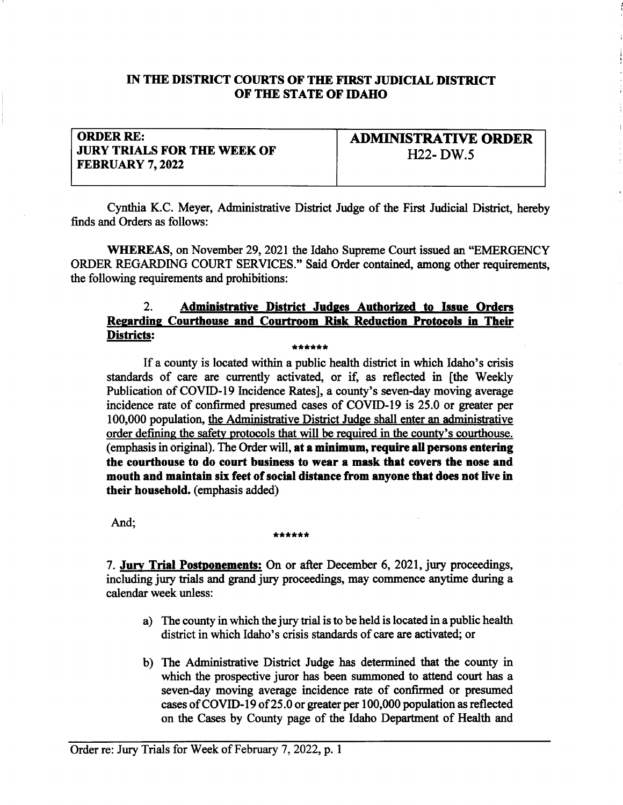## IN THE DISTRICT COURTS OF THE FIRST JUDICIAL DISTRICT OF THE STATE OF IDAHO

## ORDER RE: JURY TRIALS FOR THE WEEK OF FEBRUARY 7,2022

ADMIMSTRATTVE ORDER H<sub>22</sub>- DW<sub>.5</sub>

Cynthia K.C. Meyer, Administrative District Judge of the First Judicial District, hereby finds and Orders as follows:

WHEREAS, on November 29, 2021 the Idaho Supreme Court issued an "EMERGENCY ORDER REGARDING COURT SERVICES." Said Order contained, among other requirements, the following requirements and prohibitions:

# 2. Administrative District Judges Authorized to Issue Orders Regarding Courthouse and Courtroom Risk Reduction Protocols in Their Districts:

#### \*\*\*\*\*

If a county is located within a public health district in which Idaho's crisis standards of care are currently activated, or if, as reflected in [the Weekly Publication of COVID-I9 Incidence Rates], a county's seven-day moving average incidence rate of confirmed presumed cases of COVID-I9 is 25.0 or greater per 100,000 population, the Administative District Judge shall enter an administrative order defining the safety protocols that will be required in the county's courthouse. (emphasis in original). The Order will, at a minimum, require all persons entering the courthouse to do court business to wear a mask that covers the nose and mouth and maintain sir feet of social distence from anyone that does not live in their household. (emphasis added)

# And; \*\*\*\*\*\*\*

7. Jury Trial Postponements: On or after December 6, 2021, jury proceedings, including jury trials and grand jury proceedings, may commence anytime during a calendar week unless:

- a) The county in which the jury trial is to be held is located in a public health district in which Idaho's crisis standards of care are activated; or
- b) The Administative District Judge has determined that the county in which the prospective juror has been summoned to attend court has a seven-day moving average incidence rate of confirmed or presumed cases of COVID-19 of 25.0 or greater per 100,000 population as reflected on the Cases by County page of the Idaho Department of Health and